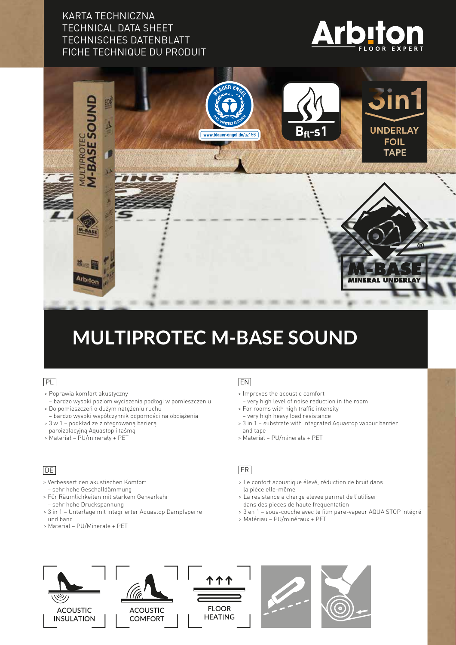## KARTA TECHNICZNA TECHNICAL DATA SHEET TECHNISCHES DATENBLATT FICHE TECHNIQUE DU PRODUIT





# **MULTIPROTEC M-BASE SOUND**

#### PL

- > Poprawia komfort akustyczny
- bardzo wysoki poziom wyciszenia podłogi w pomieszczeniu > Do pomieszczeń o dużym natężeniu ruchu
- bardzo wysoki współczynnik odporności na obciążenia
- > 3 w 1 podkład ze zintegrowaną barierą
- paroizolacyjną Aquastop i taśmą > Materiał – PU/minerały + PET

### $DE$

- > Verbessert den akustischen Komfort – sehr hohe Geschalldämmung
- > Für Räumlichkeiten mit starkem Gehverkehr – sehr hohe Druckspannung
- > 3 in 1 Unterlage mit integrierter Aquastop Dampfsperre und band
- > Material PU/Minerale + PET

#### EN

- > Improves the acoustic comfort
- very high level of noise reduction in the room
- > For rooms with high traffic intensity – very high heavy load resistance
- > 3 in 1 substrate with integrated Aquastop vapour barrier and tape
- > Material PU/minerals + PET

#### FR

- > Le confort acoustique élevé, réduction de bruit dans la pièce elle-même
- > La resistance a charge elevee permet de l'utiliser dans des pieces de haute frequentation
- > 3 en 1 sous-couche avec le film pare-vapeur AQUA STOP intégré
- > Matériau PU/minéraux + PET